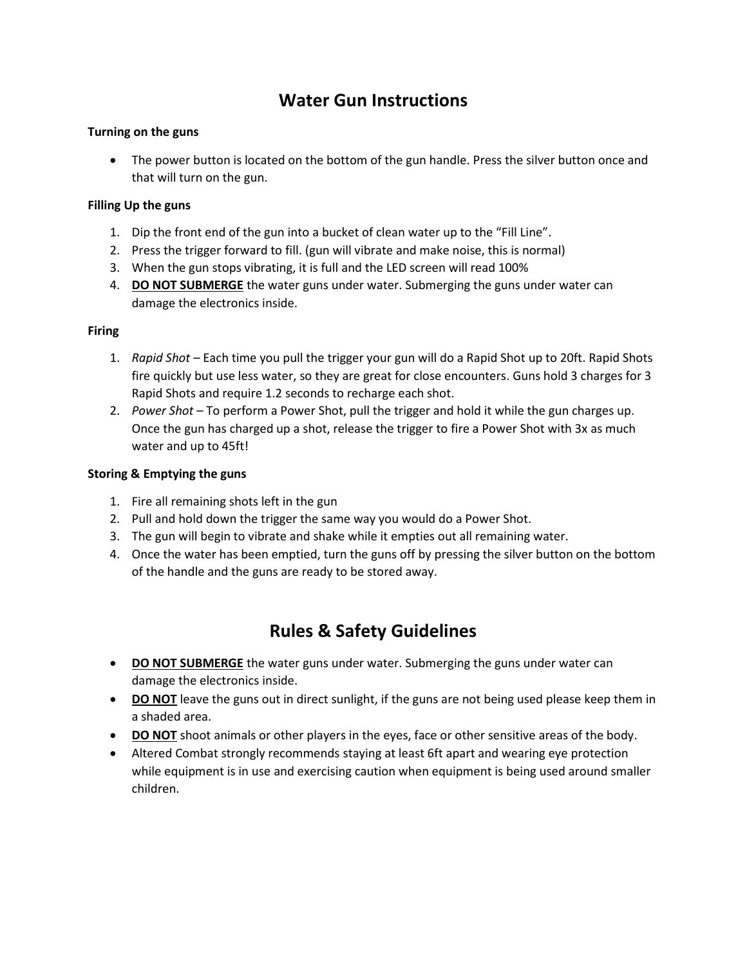# **Water Gun Instructions**

### **Turning on the guns**

• The power button is located on the bottom of the gun handle. Press the silver button once and that will turn on the gun.

### **Filling Up the guns**

- 1. Dip the front end of the gun into a bucket of clean water up to the "Fill Line".
- 2. Press the trigger forward to fill. (gun will vibrate and make noise, this is normal)
- 3. When the gun stops vibrating, it is full and the LED screen will read 100%
- 4. **DO NOT SUBMERGE** the water guns under water. Submerging the guns under water can damage the electronics inside.

#### **Firing**

- 1. *Rapid Shot* Each time you pull the trigger your gun will do a Rapid Shot up to 20ft. Rapid Shots fire quickly but use less water, so they are great for close encounters. Guns hold 3 charges for 3 Rapid Shots and require 1.2 seconds to recharge each shot.
- 2. *Power Shot* To perform a Power Shot, pull the trigger and hold it while the gun charges up. Once the gun has charged up a shot, release the trigger to fire a Power Shot with 3x as much water and up to 45ft!

### **Storing & Emptying the guns**

- 1. Fire all remaining shots left in the gun
- 2. Pull and hold down the trigger the same way you would do a Power Shot.
- 3. The gun will begin to vibrate and shake while it empties out all remaining water.
- 4. Once the water has been emptied, turn the guns off by pressing the silver button on the bottom of the handle and the guns are ready to be stored away.

## **Rules & Safety Guidelines**

- **DO NOT SUBMERGE** the water guns under water. Submerging the guns under water can damage the electronics inside.
- **DO NOT** leave the guns out in direct sunlight, if the guns are not being used please keep them in a shaded area.
- **DO NOT** shoot animals or other players in the eyes, face or other sensitive areas of the body.
- Altered Combat strongly recommends staying at least 6ft apart and wearing eye protection while equipment is in use and exercising caution when equipment is being used around smaller children.